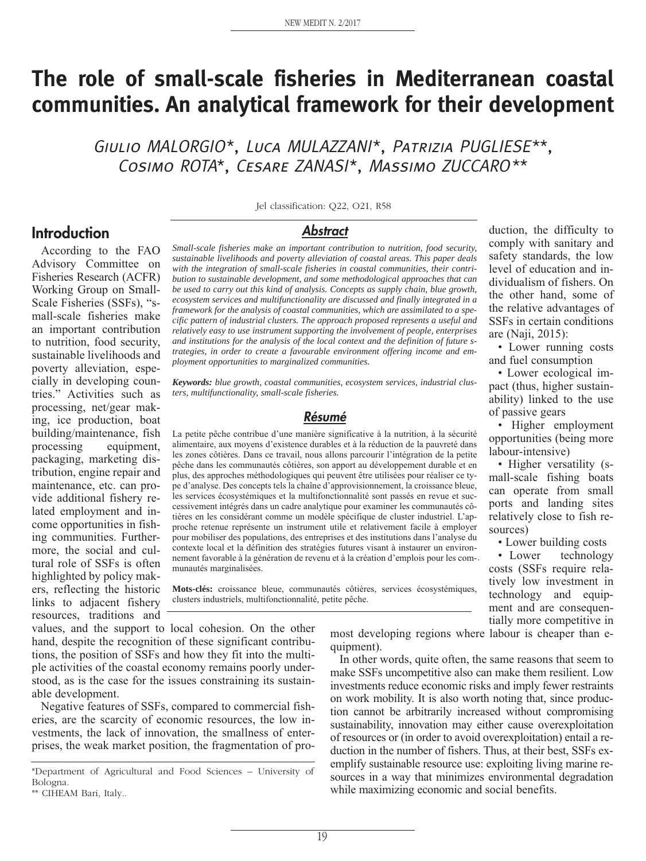# **The role of small-scale fisheries in Mediterranean coastal communities. An analytical framework for their development**

Giulio MALORGIO\*, Luca MULAZZANI\*, Patrizia PUGLIESE\*\*, Cosimo ROTA\*, Cesare ZANASI\*, Massimo ZUCCARO\*\*

Jel classification: Q22, O21, R58

*Abstract*

*Small-scale fisheries make an important contribution to nutrition, food security, sustainable livelihoods and poverty alleviation of coastal areas. This paper deals with the integration of small-scale fisheries in coastal communities, their contribution to sustainable development, and some methodological approaches that can be used to carry out this kind of analysis. Concepts as supply chain, blue growth, ecosystem services and multifunctionality are discussed and finally integrated in a framework for the analysis of coastal communities, which are assimilated to a specific pattern of industrial clusters. The approach proposed represents a useful and relatively easy to use instrument supporting the involvement of people, enterprises and institutions for the analysis of the local context and the definition of future strategies, in order to create a favourable environment offering income and employment opportunities to marginalized communities.*

*Keywords: blue growth, coastal communities, ecosystem services, industrial clusters, multifunctionality, small-scale fisheries.*

#### *Résumé*

La petite pêche contribue d'une manière significative à la nutrition, à la sécurité alimentaire, aux moyens d'existence durables et à la réduction de la pauvreté dans les zones côtières. Dans ce travail, nous allons parcourir l'intégration de la petite pêche dans les communautés côtières, son apport au développement durable et en plus, des approches méthodologiques qui peuvent être utilisées pour réaliser ce type d'analyse. Des concepts tels la chaîne d'approvisionnement, la croissance bleue, les services écosystémiques et la multifonctionnalité sont passés en revue et successivement intégrés dans un cadre analytique pour examiner les communautés côtières en les considérant comme un modèle spécifique de cluster industriel. L'approche retenue représente un instrument utile et relativement facile à employer pour mobiliser des populations, des entreprises et des institutions dans l'analyse du contexte local et la définition des stratégies futures visant à instaurer un environnement favorable à la génération de revenu et à la création d'emplois pour les communautés marginalisées.

**Mots-clés:** croissance bleue, communautés côtières, services écosystémiques, clusters industriels, multifonctionnalité, petite pêche.

values, and the support to local cohesion. On the other hand, despite the recognition of these significant contributions, the position of SSFs and how they fit into the multiple activities of the coastal economy remains poorly understood, as is the case for the issues constraining its sustainable development.

Negative features of SSFs, compared to commercial fisheries, are the scarcity of economic resources, the low investments, the lack of innovation, the smallness of enterprises, the weak market position, the fragmentation of pro-

**Introduction**

According to the FAO Advisory Committee on Fisheries Research (ACFR) Working Group on Small-Scale Fisheries (SSFs), "small-scale fisheries make an important contribution to nutrition, food security, sustainable livelihoods and poverty alleviation, especially in developing countries." Activities such as processing, net/gear making, ice production, boat building/maintenance, fish processing equipment, packaging, marketing distribution, engine repair and maintenance, etc. can provide additional fishery related employment and income opportunities in fishing communities. Furthermore, the social and cultural role of SSFs is often highlighted by policy makers, reflecting the historic links to adjacent fishery resources, traditions and

> most developing regions where labour is cheaper than equipment).

> In other words, quite often, the same reasons that seem to make SSFs uncompetitive also can make them resilient. Low investments reduce economic risks and imply fewer restraints on work mobility. It is also worth noting that, since production cannot be arbitrarily increased without compromising sustainability, innovation may either cause overexploitation of resources or (in order to avoid overexploitation) entail a reduction in the number of fishers. Thus, at their best, SSFs exemplify sustainable resource use: exploiting living marine resources in a way that minimizes environmental degradation while maximizing economic and social benefits.

duction, the difficulty to comply with sanitary and safety standards, the low level of education and individualism of fishers. On the other hand, some of the relative advantages of SSFs in certain conditions are (Naji, 2015):

• Lower running costs and fuel consumption

• Lower ecological impact (thus, higher sustainability) linked to the use of passive gears

• Higher employment opportunities (being more labour-intensive)

• Higher versatility (small-scale fishing boats can operate from small ports and landing sites relatively close to fish resources)

• Lower building costs

• Lower technology costs (SSFs require relatively low investment in technology and equipment and are consequentially more competitive in

<sup>\*</sup>Department of Agricultural and Food Sciences – University of Bologna.

<sup>\*\*</sup> CIHEAM Bari, Italy..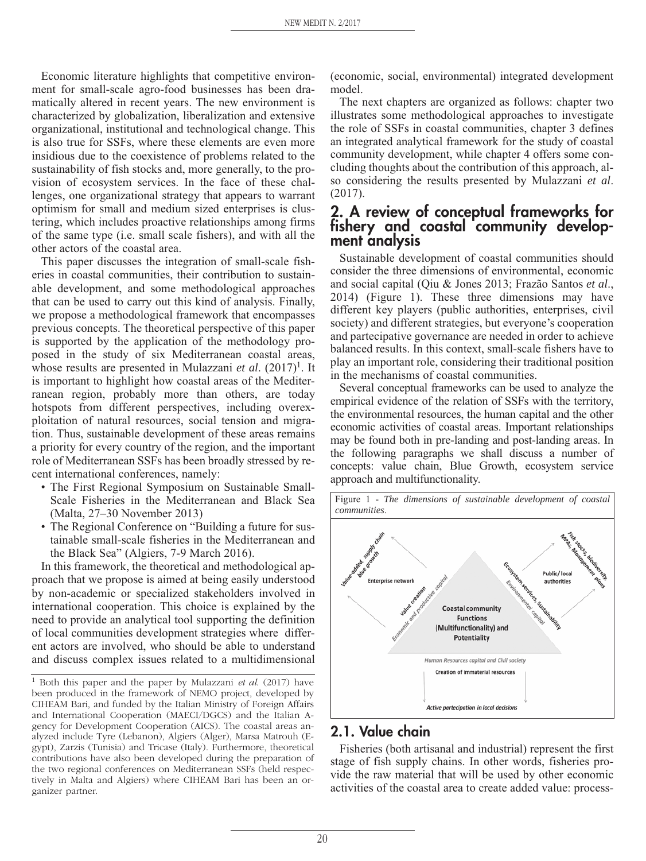Economic literature highlights that competitive environment for small-scale agro-food businesses has been dramatically altered in recent years. The new environment is characterized by globalization, liberalization and extensive organizational, institutional and technological change. This is also true for SSFs, where these elements are even more insidious due to the coexistence of problems related to the sustainability of fish stocks and, more generally, to the provision of ecosystem services. In the face of these challenges, one organizational strategy that appears to warrant optimism for small and medium sized enterprises is clustering, which includes proactive relationships among firms of the same type (i.e. small scale fishers), and with all the other actors of the coastal area.

This paper discusses the integration of small-scale fisheries in coastal communities, their contribution to sustainable development, and some methodological approaches that can be used to carry out this kind of analysis. Finally, we propose a methodological framework that encompasses previous concepts. The theoretical perspective of this paper is supported by the application of the methodology proposed in the study of six Mediterranean coastal areas, whose results are presented in Mulazzani *et al.* (2017)<sup>1</sup>. It is important to highlight how coastal areas of the Mediterranean region, probably more than others, are today hotspots from different perspectives, including overexploitation of natural resources, social tension and migration. Thus, sustainable development of these areas remains a priority for every country of the region, and the important role of Mediterranean SSFs has been broadly stressed by recent international conferences, namely:

- The First Regional Symposium on Sustainable Small-Scale Fisheries in the Mediterranean and Black Sea (Malta, 27–30 November 2013)
- The Regional Conference on "Building a future for sustainable small-scale fisheries in the Mediterranean and the Black Sea" (Algiers, 7-9 March 2016).

In this framework, the theoretical and methodological approach that we propose is aimed at being easily understood by non-academic or specialized stakeholders involved in international cooperation. This choice is explained by the need to provide an analytical tool supporting the definition of local communities development strategies where different actors are involved, who should be able to understand and discuss complex issues related to a multidimensional

(economic, social, environmental) integrated development model.

The next chapters are organized as follows: chapter two illustrates some methodological approaches to investigate the role of SSFs in coastal communities, chapter 3 defines an integrated analytical framework for the study of coastal community development, while chapter 4 offers some concluding thoughts about the contribution of this approach, also considering the results presented by Mulazzani *et al*. (2017).

#### **2. A review of conceptual frameworks for fishery and coastal community development analysis**

Sustainable development of coastal communities should consider the three dimensions of environmental, economic and social capital (Qiu & Jones 2013; Frazão Santos *et al*., 2014) (Figure 1). These three dimensions may have different key players (public authorities, enterprises, civil society) and different strategies, but everyone's cooperation and partecipative governance are needed in order to achieve balanced results. In this context, small-scale fishers have to play an important role, considering their traditional position in the mechanisms of coastal communities.

Several conceptual frameworks can be used to analyze the empirical evidence of the relation of SSFs with the territory, the environmental resources, the human capital and the other economic activities of coastal areas. Important relationships may be found both in pre-landing and post-landing areas. In the following paragraphs we shall discuss a number of concepts: value chain, Blue Growth, ecosystem service approach and multifunctionality.



#### **2.1. Value chain**

Fisheries (both artisanal and industrial) represent the first stage of fish supply chains. In other words, fisheries provide the raw material that will be used by other economic activities of the coastal area to create added value: process-

<sup>1</sup> Both this paper and the paper by Mulazzani *et al*. (2017) have been produced in the framework of NEMO project, developed by CIHEAM Bari, and funded by the Italian Ministry of Foreign Affairs and International Cooperation (MAECI/DGCS) and the Italian Agency for Development Cooperation (AICS). The coastal areas analyzed include Tyre (Lebanon), Algiers (Alger), Marsa Matrouh (Egypt), Zarzis (Tunisia) and Tricase (Italy). Furthermore, theoretical contributions have also been developed during the preparation of the two regional conferences on Mediterranean SSFs (held respectively in Malta and Algiers) where CIHEAM Bari has been an organizer partner.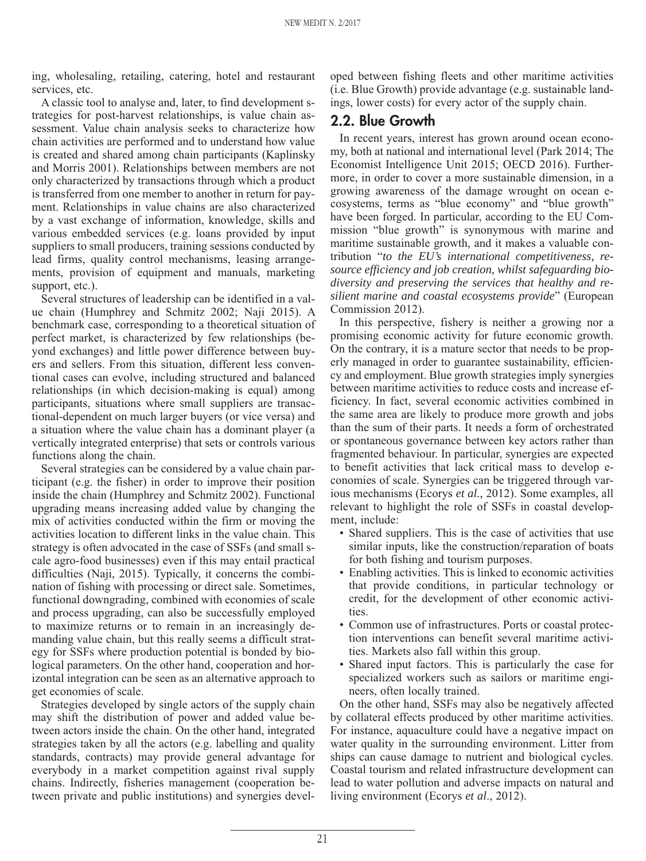ing, wholesaling, retailing, catering, hotel and restaurant services, etc.

A classic tool to analyse and, later, to find development strategies for post-harvest relationships, is value chain assessment. Value chain analysis seeks to characterize how chain activities are performed and to understand how value is created and shared among chain participants (Kaplinsky and Morris 2001). Relationships between members are not only characterized by transactions through which a product is transferred from one member to another in return for payment. Relationships in value chains are also characterized by a vast exchange of information, knowledge, skills and various embedded services (e.g. loans provided by input suppliers to small producers, training sessions conducted by lead firms, quality control mechanisms, leasing arrangements, provision of equipment and manuals, marketing support, etc.).

Several structures of leadership can be identified in a value chain (Humphrey and Schmitz 2002; Naji 2015). A benchmark case, corresponding to a theoretical situation of perfect market, is characterized by few relationships (beyond exchanges) and little power difference between buyers and sellers. From this situation, different less conventional cases can evolve, including structured and balanced relationships (in which decision-making is equal) among participants, situations where small suppliers are transactional-dependent on much larger buyers (or vice versa) and a situation where the value chain has a dominant player (a vertically integrated enterprise) that sets or controls various functions along the chain.

Several strategies can be considered by a value chain participant (e.g. the fisher) in order to improve their position inside the chain (Humphrey and Schmitz 2002). Functional upgrading means increasing added value by changing the mix of activities conducted within the firm or moving the activities location to different links in the value chain. This strategy is often advocated in the case of SSFs (and small scale agro-food businesses) even if this may entail practical difficulties (Naji, 2015). Typically, it concerns the combination of fishing with processing or direct sale. Sometimes, functional downgrading, combined with economies of scale and process upgrading, can also be successfully employed to maximize returns or to remain in an increasingly demanding value chain, but this really seems a difficult strategy for SSFs where production potential is bonded by biological parameters. On the other hand, cooperation and horizontal integration can be seen as an alternative approach to get economies of scale.

Strategies developed by single actors of the supply chain may shift the distribution of power and added value between actors inside the chain. On the other hand, integrated strategies taken by all the actors (e.g. labelling and quality standards, contracts) may provide general advantage for everybody in a market competition against rival supply chains. Indirectly, fisheries management (cooperation between private and public institutions) and synergies developed between fishing fleets and other maritime activities (i.e. Blue Growth) provide advantage (e.g. sustainable landings, lower costs) for every actor of the supply chain.

## **2.2. Blue Growth**

In recent years, interest has grown around ocean economy, both at national and international level (Park 2014; The Economist Intelligence Unit 2015; OECD 2016). Furthermore, in order to cover a more sustainable dimension, in a growing awareness of the damage wrought on ocean ecosystems, terms as "blue economy" and "blue growth" have been forged. In particular, according to the EU Commission "blue growth" is synonymous with marine and maritime sustainable growth, and it makes a valuable contribution "*to the EU's international competitiveness, resource efficiency and job creation, whilst safeguarding biodiversity and preserving the services that healthy and resilient marine and coastal ecosystems provide*" (European Commission 2012).

In this perspective, fishery is neither a growing nor a promising economic activity for future economic growth. On the contrary, it is a mature sector that needs to be properly managed in order to guarantee sustainability, efficiency and employment. Blue growth strategies imply synergies between maritime activities to reduce costs and increase efficiency. In fact, several economic activities combined in the same area are likely to produce more growth and jobs than the sum of their parts. It needs a form of orchestrated or spontaneous governance between key actors rather than fragmented behaviour. In particular, synergies are expected to benefit activities that lack critical mass to develop economies of scale. Synergies can be triggered through various mechanisms (Ecorys *et al.,* 2012). Some examples, all relevant to highlight the role of SSFs in coastal development, include:

- Shared suppliers. This is the case of activities that use similar inputs, like the construction/reparation of boats for both fishing and tourism purposes.
- Enabling activities. This is linked to economic activities that provide conditions, in particular technology or credit, for the development of other economic activities.
- Common use of infrastructures. Ports or coastal protection interventions can benefit several maritime activities. Markets also fall within this group.
- Shared input factors. This is particularly the case for specialized workers such as sailors or maritime engineers, often locally trained.

On the other hand, SSFs may also be negatively affected by collateral effects produced by other maritime activities. For instance, aquaculture could have a negative impact on water quality in the surrounding environment. Litter from ships can cause damage to nutrient and biological cycles. Coastal tourism and related infrastructure development can lead to water pollution and adverse impacts on natural and living environment (Ecorys *et al*., 2012).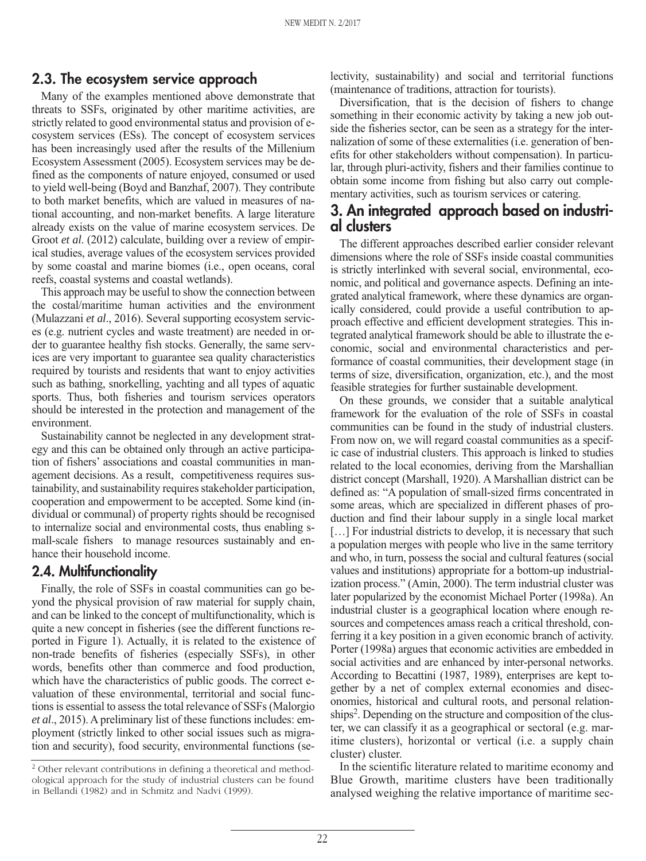#### **2.3. The ecosystem service approach**

Many of the examples mentioned above demonstrate that threats to SSFs, originated by other maritime activities, are strictly related to good environmental status and provision of ecosystem services (ESs). The concept of ecosystem services has been increasingly used after the results of the Millenium Ecosystem Assessment (2005). Ecosystem services may be defined as the components of nature enjoyed, consumed or used to yield well-being (Boyd and Banzhaf, 2007). They contribute to both market benefits, which are valued in measures of national accounting, and non-market benefits. A large literature already exists on the value of marine ecosystem services. De Groot *et al*. (2012) calculate, building over a review of empirical studies, average values of the ecosystem services provided by some coastal and marine biomes (i.e., open oceans, coral reefs, coastal systems and coastal wetlands).

This approach may be useful to show the connection between the costal/maritime human activities and the environment (Mulazzani *et al*., 2016). Several supporting ecosystem services (e.g. nutrient cycles and waste treatment) are needed in order to guarantee healthy fish stocks. Generally, the same services are very important to guarantee sea quality characteristics required by tourists and residents that want to enjoy activities such as bathing, snorkelling, yachting and all types of aquatic sports. Thus, both fisheries and tourism services operators should be interested in the protection and management of the environment.

Sustainability cannot be neglected in any development strategy and this can be obtained only through an active participation of fishers' associations and coastal communities in management decisions. As a result, competitiveness requires sustainability, and sustainability requires stakeholder participation, cooperation and empowerment to be accepted. Some kind (individual or communal) of property rights should be recognised to internalize social and environmental costs, thus enabling small-scale fishers to manage resources sustainably and enhance their household income.

#### **2.4. Multifunctionality**

Finally, the role of SSFs in coastal communities can go beyond the physical provision of raw material for supply chain, and can be linked to the concept of multifunctionality, which is quite a new concept in fisheries (see the different functions reported in Figure 1). Actually, it is related to the existence of non-trade benefits of fisheries (especially SSFs), in other words, benefits other than commerce and food production, which have the characteristics of public goods. The correct evaluation of these environmental, territorial and social functions is essential to assess the total relevance of SSFs (Malorgio *et al*., 2015). A preliminary list of these functions includes: employment (strictly linked to other social issues such as migration and security), food security, environmental functions (selectivity, sustainability) and social and territorial functions (maintenance of traditions, attraction for tourists).

Diversification, that is the decision of fishers to change something in their economic activity by taking a new job outside the fisheries sector, can be seen as a strategy for the internalization of some of these externalities (i.e. generation of benefits for other stakeholders without compensation). In particular, through pluri-activity, fishers and their families continue to obtain some income from fishing but also carry out complementary activities, such as tourism services or catering.

#### **3. An integrated approach based on industrial clusters**

The different approaches described earlier consider relevant dimensions where the role of SSFs inside coastal communities is strictly interlinked with several social, environmental, economic, and political and governance aspects. Defining an integrated analytical framework, where these dynamics are organically considered, could provide a useful contribution to approach effective and efficient development strategies. This integrated analytical framework should be able to illustrate the economic, social and environmental characteristics and performance of coastal communities, their development stage (in terms of size, diversification, organization, etc.), and the most feasible strategies for further sustainable development.

On these grounds, we consider that a suitable analytical framework for the evaluation of the role of SSFs in coastal communities can be found in the study of industrial clusters. From now on, we will regard coastal communities as a specific case of industrial clusters. This approach is linked to studies related to the local economies, deriving from the Marshallian district concept (Marshall, 1920). A Marshallian district can be defined as: "A population of small-sized firms concentrated in some areas, which are specialized in different phases of production and find their labour supply in a single local market [...] For industrial districts to develop, it is necessary that such a population merges with people who live in the same territory and who, in turn, possess the social and cultural features (social values and institutions) appropriate for a bottom-up industrialization process." (Amin, 2000). The term industrial cluster was later popularized by the economist Michael Porter (1998a). An industrial cluster is a geographical location where enough resources and competences amass reach a critical threshold, conferring it a key position in a given economic branch of activity. Porter (1998a) argues that economic activities are embedded in social activities and are enhanced by inter-personal networks. According to Becattini (1987, 1989), enterprises are kept together by a net of complex external economies and diseconomies, historical and cultural roots, and personal relationships<sup>2</sup>. Depending on the structure and composition of the cluster, we can classify it as a geographical or sectoral (e.g. maritime clusters), horizontal or vertical (i.e. a supply chain cluster) cluster.

In the scientific literature related to maritime economy and Blue Growth, maritime clusters have been traditionally analysed weighing the relative importance of maritime sec-

<sup>2</sup> Other relevant contributions in defining a theoretical and methodological approach for the study of industrial clusters can be found in Bellandi (1982) and in Schmitz and Nadvi (1999).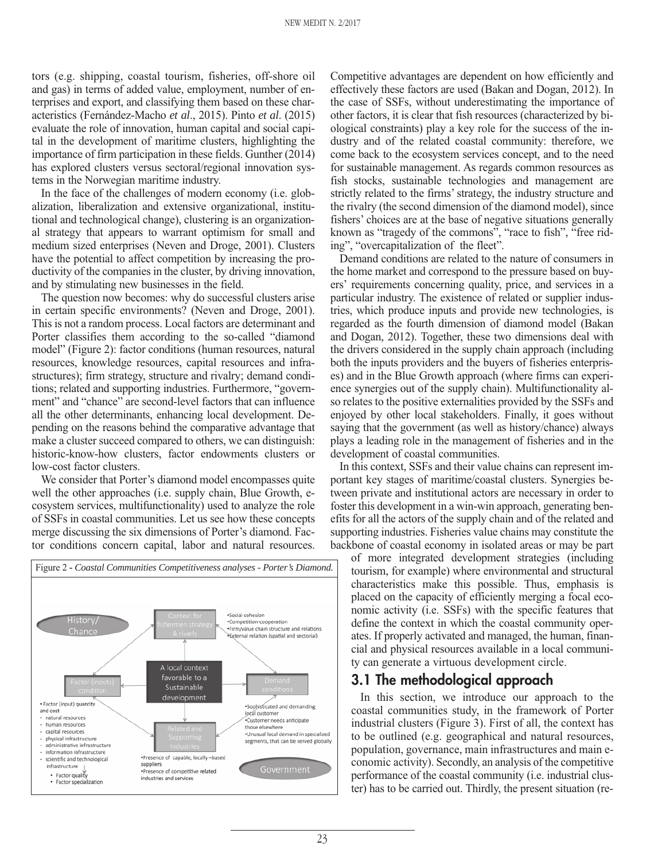tors (e.g. shipping, coastal tourism, fisheries, off-shore oil and gas) in terms of added value, employment, number of enterprises and export, and classifying them based on these characteristics (Fernández-Macho *et al*., 2015). Pinto *et al*. (2015) evaluate the role of innovation, human capital and social capital in the development of maritime clusters, highlighting the importance of firm participation in these fields. Gunther (2014) has explored clusters versus sectoral/regional innovation systems in the Norwegian maritime industry.

In the face of the challenges of modern economy (i.e. globalization, liberalization and extensive organizational, institutional and technological change), clustering is an organizational strategy that appears to warrant optimism for small and medium sized enterprises (Neven and Droge, 2001). Clusters have the potential to affect competition by increasing the productivity of the companies in the cluster, by driving innovation, and by stimulating new businesses in the field.

The question now becomes: why do successful clusters arise in certain specific environments? (Neven and Droge, 2001). This is not a random process. Local factors are determinant and Porter classifies them according to the so-called "diamond model" (Figure 2): factor conditions (human resources, natural resources, knowledge resources, capital resources and infrastructures); firm strategy, structure and rivalry; demand conditions; related and supporting industries. Furthermore, "government" and "chance" are second-level factors that can influence all the other determinants, enhancing local development. Depending on the reasons behind the comparative advantage that make a cluster succeed compared to others, we can distinguish: historic-know-how clusters, factor endowments clusters or low-cost factor clusters.

We consider that Porter's diamond model encompasses quite well the other approaches (i.e. supply chain, Blue Growth, ecosystem services, multifunctionality) used to analyze the role of SSFs in coastal communities. Let us see how these concepts merge discussing the six dimensions of Porter's diamond. Factor conditions concern capital, labor and natural resources.



Competitive advantages are dependent on how efficiently and effectively these factors are used (Bakan and Dogan, 2012). In the case of SSFs, without underestimating the importance of other factors, it is clear that fish resources (characterized by biological constraints) play a key role for the success of the industry and of the related coastal community: therefore, we come back to the ecosystem services concept, and to the need for sustainable management. As regards common resources as fish stocks, sustainable technologies and management are strictly related to the firms' strategy, the industry structure and the rivalry (the second dimension of the diamond model), since fishers' choices are at the base of negative situations generally known as "tragedy of the commons", "race to fish", "free riding", "overcapitalization of the fleet".

Demand conditions are related to the nature of consumers in the home market and correspond to the pressure based on buyers' requirements concerning quality, price, and services in a particular industry. The existence of related or supplier industries, which produce inputs and provide new technologies, is regarded as the fourth dimension of diamond model (Bakan and Dogan, 2012). Together, these two dimensions deal with the drivers considered in the supply chain approach (including both the inputs providers and the buyers of fisheries enterprises) and in the Blue Growth approach (where firms can experience synergies out of the supply chain). Multifunctionality also relates to the positive externalities provided by the SSFs and enjoyed by other local stakeholders. Finally, it goes without saying that the government (as well as history/chance) always plays a leading role in the management of fisheries and in the development of coastal communities.

In this context, SSFs and their value chains can represent important key stages of maritime/coastal clusters. Synergies between private and institutional actors are necessary in order to foster this development in a win-win approach, generating benefits for all the actors of the supply chain and of the related and supporting industries. Fisheries value chains may constitute the backbone of coastal economy in isolated areas or may be part

of more integrated development strategies (including tourism, for example) where environmental and structural characteristics make this possible. Thus, emphasis is placed on the capacity of efficiently merging a focal economic activity (i.e. SSFs) with the specific features that define the context in which the coastal community operates. If properly activated and managed, the human, financial and physical resources available in a local community can generate a virtuous development circle.

#### **3.1 The methodological approach**

In this section, we introduce our approach to the coastal communities study, in the framework of Porter industrial clusters (Figure 3). First of all, the context has to be outlined (e.g. geographical and natural resources, population, governance, main infrastructures and main economic activity). Secondly, an analysis of the competitive performance of the coastal community (i.e. industrial cluster) has to be carried out. Thirdly, the present situation (re-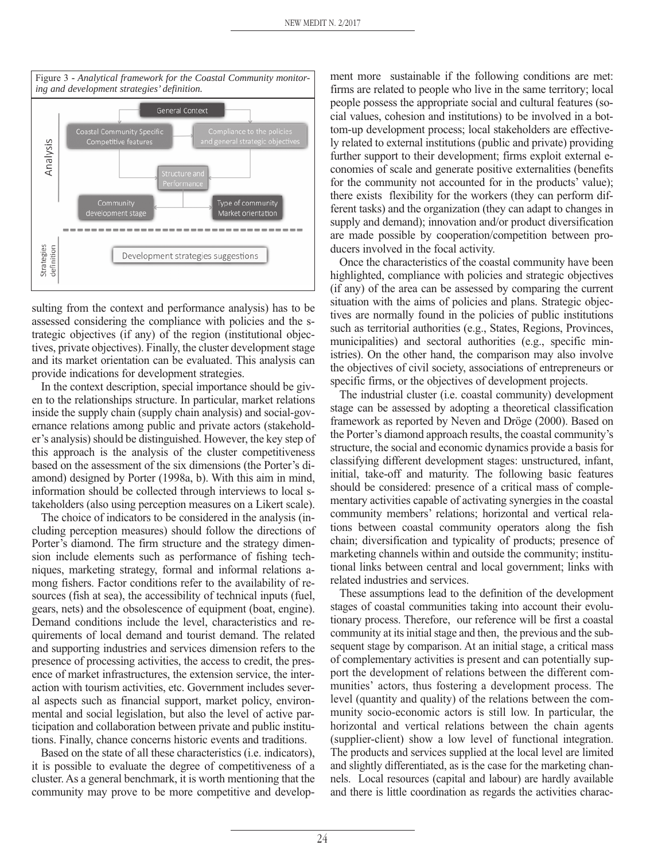

sulting from the context and performance analysis) has to be assessed considering the compliance with policies and the strategic objectives (if any) of the region (institutional objectives, private objectives). Finally, the cluster development stage and its market orientation can be evaluated. This analysis can provide indications for development strategies.

In the context description, special importance should be given to the relationships structure. In particular, market relations inside the supply chain (supply chain analysis) and social-governance relations among public and private actors (stakeholder's analysis) should be distinguished. However, the key step of this approach is the analysis of the cluster competitiveness based on the assessment of the six dimensions (the Porter's diamond) designed by Porter (1998a, b). With this aim in mind, information should be collected through interviews to local stakeholders (also using perception measures on a Likert scale).

The choice of indicators to be considered in the analysis (including perception measures) should follow the directions of Porter's diamond. The firm structure and the strategy dimension include elements such as performance of fishing techniques, marketing strategy, formal and informal relations among fishers. Factor conditions refer to the availability of resources (fish at sea), the accessibility of technical inputs (fuel, gears, nets) and the obsolescence of equipment (boat, engine). Demand conditions include the level, characteristics and requirements of local demand and tourist demand. The related and supporting industries and services dimension refers to the presence of processing activities, the access to credit, the presence of market infrastructures, the extension service, the interaction with tourism activities, etc. Government includes several aspects such as financial support, market policy, environmental and social legislation, but also the level of active participation and collaboration between private and public institutions. Finally, chance concerns historic events and traditions.

Based on the state of all these characteristics (i.e. indicators), it is possible to evaluate the degree of competitiveness of a cluster. As a general benchmark, it is worth mentioning that the community may prove to be more competitive and development more sustainable if the following conditions are met: firms are related to people who live in the same territory; local people possess the appropriate social and cultural features (social values, cohesion and institutions) to be involved in a bottom-up development process; local stakeholders are effectively related to external institutions (public and private) providing further support to their development; firms exploit external economies of scale and generate positive externalities (benefits for the community not accounted for in the products' value); there exists flexibility for the workers (they can perform different tasks) and the organization (they can adapt to changes in supply and demand); innovation and/or product diversification are made possible by cooperation/competition between producers involved in the focal activity.

Once the characteristics of the coastal community have been highlighted, compliance with policies and strategic objectives (if any) of the area can be assessed by comparing the current situation with the aims of policies and plans. Strategic objectives are normally found in the policies of public institutions such as territorial authorities (e.g., States, Regions, Provinces, municipalities) and sectoral authorities (e.g., specific ministries). On the other hand, the comparison may also involve the objectives of civil society, associations of entrepreneurs or specific firms, or the objectives of development projects.

The industrial cluster (i.e. coastal community) development stage can be assessed by adopting a theoretical classification framework as reported by Neven and Dröge (2000). Based on the Porter's diamond approach results, the coastal community's structure, the social and economic dynamics provide a basis for classifying different development stages: unstructured, infant, initial, take-off and maturity. The following basic features should be considered: presence of a critical mass of complementary activities capable of activating synergies in the coastal community members' relations; horizontal and vertical relations between coastal community operators along the fish chain; diversification and typicality of products; presence of marketing channels within and outside the community; institutional links between central and local government; links with related industries and services.

These assumptions lead to the definition of the development stages of coastal communities taking into account their evolutionary process. Therefore, our reference will be first a coastal community at its initial stage and then, the previous and the subsequent stage by comparison. At an initial stage, a critical mass of complementary activities is present and can potentially support the development of relations between the different communities' actors, thus fostering a development process. The level (quantity and quality) of the relations between the community socio-economic actors is still low. In particular, the horizontal and vertical relations between the chain agents (supplier-client) show a low level of functional integration. The products and services supplied at the local level are limited and slightly differentiated, as is the case for the marketing channels. Local resources (capital and labour) are hardly available and there is little coordination as regards the activities charac-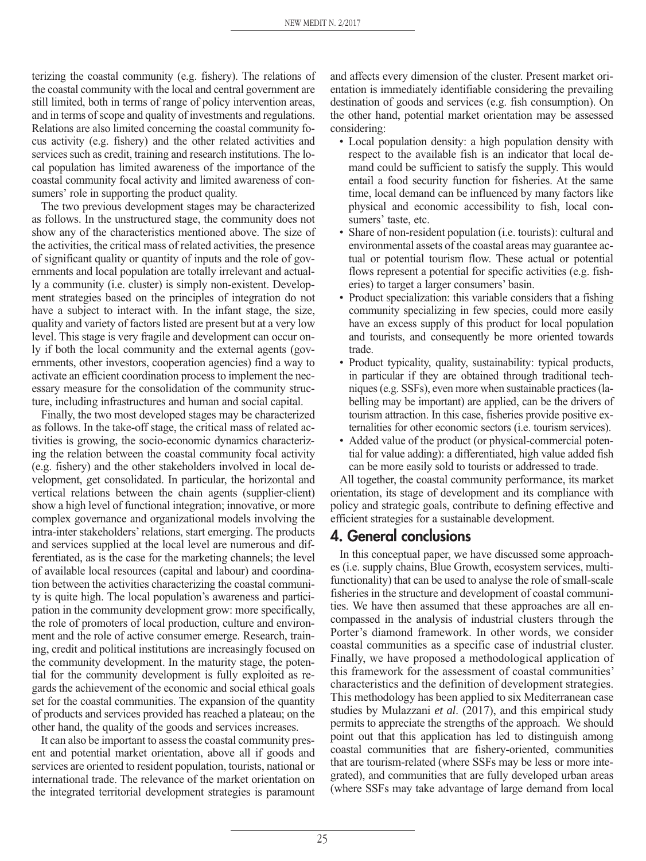terizing the coastal community (e.g. fishery). The relations of the coastal community with the local and central government are still limited, both in terms of range of policy intervention areas, and in terms of scope and quality of investments and regulations. Relations are also limited concerning the coastal community focus activity (e.g. fishery) and the other related activities and services such as credit, training and research institutions. The local population has limited awareness of the importance of the coastal community focal activity and limited awareness of consumers' role in supporting the product quality.

The two previous development stages may be characterized as follows. In the unstructured stage, the community does not show any of the characteristics mentioned above. The size of the activities, the critical mass of related activities, the presence of significant quality or quantity of inputs and the role of governments and local population are totally irrelevant and actually a community (i.e. cluster) is simply non-existent. Development strategies based on the principles of integration do not have a subject to interact with. In the infant stage, the size, quality and variety of factors listed are present but at a very low level. This stage is very fragile and development can occur only if both the local community and the external agents (governments, other investors, cooperation agencies) find a way to activate an efficient coordination process to implement the necessary measure for the consolidation of the community structure, including infrastructures and human and social capital.

Finally, the two most developed stages may be characterized as follows. In the take-off stage, the critical mass of related activities is growing, the socio-economic dynamics characterizing the relation between the coastal community focal activity (e.g. fishery) and the other stakeholders involved in local development, get consolidated. In particular, the horizontal and vertical relations between the chain agents (supplier-client) show a high level of functional integration; innovative, or more complex governance and organizational models involving the intra-inter stakeholders' relations, start emerging. The products and services supplied at the local level are numerous and differentiated, as is the case for the marketing channels; the level of available local resources (capital and labour) and coordination between the activities characterizing the coastal community is quite high. The local population's awareness and participation in the community development grow: more specifically, the role of promoters of local production, culture and environment and the role of active consumer emerge. Research, training, credit and political institutions are increasingly focused on the community development. In the maturity stage, the potential for the community development is fully exploited as regards the achievement of the economic and social ethical goals set for the coastal communities. The expansion of the quantity of products and services provided has reached a plateau; on the other hand, the quality of the goods and services increases.

It can also be important to assess the coastal community present and potential market orientation, above all if goods and services are oriented to resident population, tourists, national or international trade. The relevance of the market orientation on the integrated territorial development strategies is paramount and affects every dimension of the cluster. Present market orientation is immediately identifiable considering the prevailing destination of goods and services (e.g. fish consumption). On the other hand, potential market orientation may be assessed considering:

- Local population density: a high population density with respect to the available fish is an indicator that local demand could be sufficient to satisfy the supply. This would entail a food security function for fisheries. At the same time, local demand can be influenced by many factors like physical and economic accessibility to fish, local consumers' taste, etc.
- Share of non-resident population (i.e. tourists): cultural and environmental assets of the coastal areas may guarantee actual or potential tourism flow. These actual or potential flows represent a potential for specific activities (e.g. fisheries) to target a larger consumers' basin.
- Product specialization: this variable considers that a fishing community specializing in few species, could more easily have an excess supply of this product for local population and tourists, and consequently be more oriented towards trade.
- Product typicality, quality, sustainability: typical products, in particular if they are obtained through traditional techniques (e.g. SSFs), even more when sustainable practices (labelling may be important) are applied, can be the drivers of tourism attraction. In this case, fisheries provide positive externalities for other economic sectors (i.e. tourism services).
- Added value of the product (or physical-commercial potential for value adding): a differentiated, high value added fish can be more easily sold to tourists or addressed to trade.

All together, the coastal community performance, its market orientation, its stage of development and its compliance with policy and strategic goals, contribute to defining effective and efficient strategies for a sustainable development.

## **4. General conclusions**

In this conceptual paper, we have discussed some approaches (i.e. supply chains, Blue Growth, ecosystem services, multifunctionality) that can be used to analyse the role of small-scale fisheries in the structure and development of coastal communities. We have then assumed that these approaches are all encompassed in the analysis of industrial clusters through the Porter's diamond framework. In other words, we consider coastal communities as a specific case of industrial cluster. Finally, we have proposed a methodological application of this framework for the assessment of coastal communities' characteristics and the definition of development strategies. This methodology has been applied to six Mediterranean case studies by Mulazzani *et al*. (2017), and this empirical study permits to appreciate the strengths of the approach. We should point out that this application has led to distinguish among coastal communities that are fishery-oriented, communities that are tourism-related (where SSFs may be less or more integrated), and communities that are fully developed urban areas (where SSFs may take advantage of large demand from local